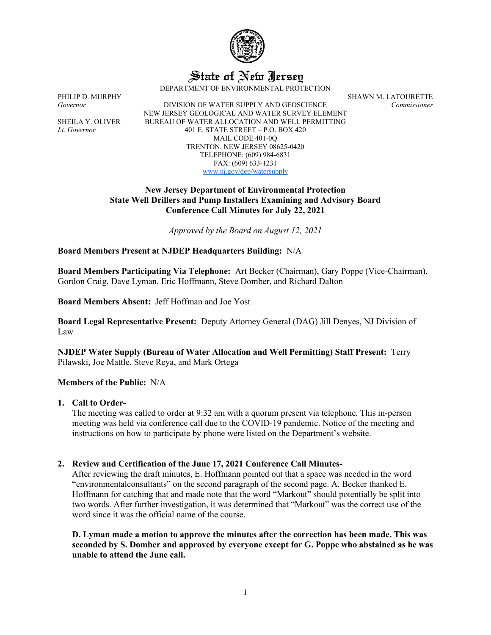

State of New Jersey

DEPARTMENT OF ENVIRONMENTAL PROTECTION

*Governor* DIVISION OF WATER SUPPLY AND GEOSCIENCE *Commissioner* NEW JERSEY GEOLOGICAL AND WATER SURVEY ELEMENT SHEILA Y. OLIVER BUREAU OF WATER ALLOCATION AND WELL PERMITTING *Lt. Governor* 401 E. STATE STREET – P.O. BOX 420 MAIL CODE 401-0Q TRENTON, NEW JERSEY 08625-0420 TELEPHONE: (609) 984-6831 FAX: (609) 633-1231 [www.nj.gov/dep/watersupply](http://www.nj.gov/dep/watersupply)

### **New Jersey Department of Environmental Protection State Well Drillers and Pump Installers Examining and Advisory Board Conference Call Minutes for July 22, 2021**

*Approved by the Board on August 12, 2021*

## **Board Members Present at NJDEP Headquarters Building:** N/A

**Board Members Participating Via Telephone:** Art Becker (Chairman), Gary Poppe (Vice-Chairman), Gordon Craig, Dave Lyman, Eric Hoffmann, Steve Domber, and Richard Dalton

**Board Members Absent:** Jeff Hoffman and Joe Yost

**Board Legal Representative Present:** Deputy Attorney General (DAG) Jill Denyes, NJ Division of Law

**NJDEP Water Supply (Bureau of Water Allocation and Well Permitting) Staff Present:** Terry Pilawski, Joe Mattle, Steve Reya, and Mark Ortega

#### **Members of the Public:** N/A

#### **1. Call to Order-**

The meeting was called to order at 9:32 am with a quorum present via telephone. This in-person meeting was held via conference call due to the COVID-19 pandemic. Notice of the meeting and instructions on how to participate by phone were listed on the Department's website.

## **2. Review and Certification of the June 17, 2021 Conference Call Minutes-**

After reviewing the draft minutes, E. Hoffmann pointed out that a space was needed in the word "environmentalconsultants" on the second paragraph of the second page. A. Becker thanked E. Hoffmann for catching that and made note that the word "Markout" should potentially be split into two words. After further investigation, it was determined that "Markout" was the correct use of the word since it was the official name of the course.

**D. Lyman made a motion to approve the minutes after the correction has been made. This was seconded by S. Domber and approved by everyone except for G. Poppe who abstained as he was unable to attend the June call.**

PHILIP D. MURPHY SHAWN M. LATOURETTE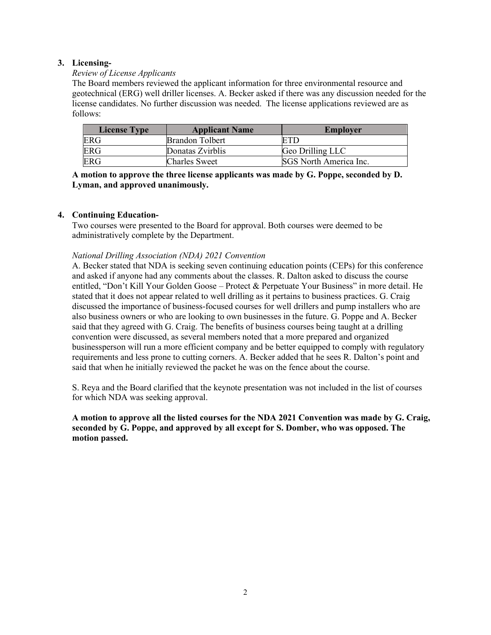# **3. Licensing-**

## *Review of License Applicants*

The Board members reviewed the applicant information for three environmental resource and geotechnical (ERG) well driller licenses. A. Becker asked if there was any discussion needed for the license candidates. No further discussion was needed. The license applications reviewed are as follows:

| <b>License Type</b> | <b>Applicant Name</b>  | <b>Employer</b>        |
|---------------------|------------------------|------------------------|
| <b>ERG</b>          | <b>Brandon Tolbert</b> |                        |
| <b>ERG</b>          | Donatas Zvirblis       | Geo Drilling LLC       |
| <b>ERG</b>          | Charles Sweet          | SGS North America Inc. |

**A motion to approve the three license applicants was made by G. Poppe, seconded by D. Lyman, and approved unanimously.**

# **4. Continuing Education-**

Two courses were presented to the Board for approval. Both courses were deemed to be administratively complete by the Department.

# *National Drilling Association (NDA) 2021 Convention*

A. Becker stated that NDA is seeking seven continuing education points (CEPs) for this conference and asked if anyone had any comments about the classes. R. Dalton asked to discuss the course entitled, "Don't Kill Your Golden Goose – Protect & Perpetuate Your Business" in more detail. He stated that it does not appear related to well drilling as it pertains to business practices. G. Craig discussed the importance of business-focused courses for well drillers and pump installers who are also business owners or who are looking to own businesses in the future. G. Poppe and A. Becker said that they agreed with G. Craig. The benefits of business courses being taught at a drilling convention were discussed, as several members noted that a more prepared and organized businessperson will run a more efficient company and be better equipped to comply with regulatory requirements and less prone to cutting corners. A. Becker added that he sees R. Dalton's point and said that when he initially reviewed the packet he was on the fence about the course.

S. Reya and the Board clarified that the keynote presentation was not included in the list of courses for which NDA was seeking approval.

**A motion to approve all the listed courses for the NDA 2021 Convention was made by G. Craig, seconded by G. Poppe, and approved by all except for S. Domber, who was opposed. The motion passed.**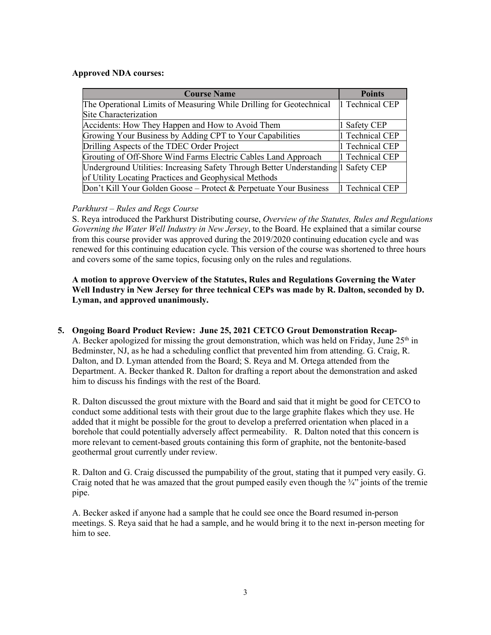### **Approved NDA courses:**

| <b>Course Name</b>                                                                 | <b>Points</b>   |
|------------------------------------------------------------------------------------|-----------------|
| The Operational Limits of Measuring While Drilling for Geotechnical                | 1 Technical CEP |
| Site Characterization                                                              |                 |
| Accidents: How They Happen and How to Avoid Them                                   | 1 Safety CEP    |
| Growing Your Business by Adding CPT to Your Capabilities                           | 1 Technical CEP |
| Drilling Aspects of the TDEC Order Project                                         | 1 Technical CEP |
| Grouting of Off-Shore Wind Farms Electric Cables Land Approach                     | 1 Technical CEP |
| Underground Utilities: Increasing Safety Through Better Understanding   Safety CEP |                 |
| of Utility Locating Practices and Geophysical Methods                              |                 |
| Don't Kill Your Golden Goose – Protect & Perpetuate Your Business                  | 1 Technical CEP |

## *Parkhurst – Rules and Regs Course*

S. Reya introduced the Parkhurst Distributing course, *Overview of the Statutes, Rules and Regulations Governing the Water Well Industry in New Jersey*, to the Board. He explained that a similar course from this course provider was approved during the 2019/2020 continuing education cycle and was renewed for this continuing education cycle. This version of the course was shortened to three hours and covers some of the same topics, focusing only on the rules and regulations.

# **A motion to approve Overview of the Statutes, Rules and Regulations Governing the Water Well Industry in New Jersey for three technical CEPs was made by R. Dalton, seconded by D. Lyman, and approved unanimously.**

#### **5. Ongoing Board Product Review: June 25, 2021 CETCO Grout Demonstration Recap-**

A. Becker apologized for missing the grout demonstration, which was held on Friday, June  $25<sup>th</sup>$  in Bedminster, NJ, as he had a scheduling conflict that prevented him from attending. G. Craig, R. Dalton, and D. Lyman attended from the Board; S. Reya and M. Ortega attended from the Department. A. Becker thanked R. Dalton for drafting a report about the demonstration and asked him to discuss his findings with the rest of the Board.

R. Dalton discussed the grout mixture with the Board and said that it might be good for CETCO to conduct some additional tests with their grout due to the large graphite flakes which they use. He added that it might be possible for the grout to develop a preferred orientation when placed in a borehole that could potentially adversely affect permeability. R. Dalton noted that this concern is more relevant to cement-based grouts containing this form of graphite, not the bentonite-based geothermal grout currently under review.

R. Dalton and G. Craig discussed the pumpability of the grout, stating that it pumped very easily. G. Craig noted that he was amazed that the grout pumped easily even though the  $\frac{3}{4}$ " joints of the tremie pipe.

A. Becker asked if anyone had a sample that he could see once the Board resumed in-person meetings. S. Reya said that he had a sample, and he would bring it to the next in-person meeting for him to see.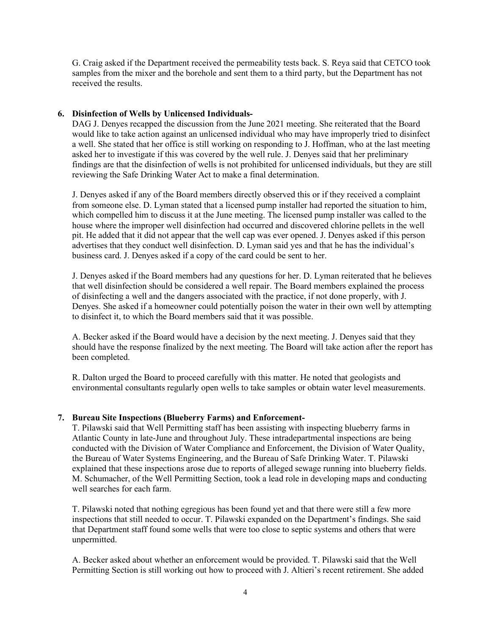G. Craig asked if the Department received the permeability tests back. S. Reya said that CETCO took samples from the mixer and the borehole and sent them to a third party, but the Department has not received the results.

### **6. Disinfection of Wells by Unlicensed Individuals-**

DAG J. Denyes recapped the discussion from the June 2021 meeting. She reiterated that the Board would like to take action against an unlicensed individual who may have improperly tried to disinfect a well. She stated that her office is still working on responding to J. Hoffman, who at the last meeting asked her to investigate if this was covered by the well rule. J. Denyes said that her preliminary findings are that the disinfection of wells is not prohibited for unlicensed individuals, but they are still reviewing the Safe Drinking Water Act to make a final determination.

J. Denyes asked if any of the Board members directly observed this or if they received a complaint from someone else. D. Lyman stated that a licensed pump installer had reported the situation to him, which compelled him to discuss it at the June meeting. The licensed pump installer was called to the house where the improper well disinfection had occurred and discovered chlorine pellets in the well pit. He added that it did not appear that the well cap was ever opened. J. Denyes asked if this person advertises that they conduct well disinfection. D. Lyman said yes and that he has the individual's business card. J. Denyes asked if a copy of the card could be sent to her.

J. Denyes asked if the Board members had any questions for her. D. Lyman reiterated that he believes that well disinfection should be considered a well repair. The Board members explained the process of disinfecting a well and the dangers associated with the practice, if not done properly, with J. Denyes. She asked if a homeowner could potentially poison the water in their own well by attempting to disinfect it, to which the Board members said that it was possible.

A. Becker asked if the Board would have a decision by the next meeting. J. Denyes said that they should have the response finalized by the next meeting. The Board will take action after the report has been completed.

R. Dalton urged the Board to proceed carefully with this matter. He noted that geologists and environmental consultants regularly open wells to take samples or obtain water level measurements.

#### **7. Bureau Site Inspections (Blueberry Farms) and Enforcement-**

T. Pilawski said that Well Permitting staff has been assisting with inspecting blueberry farms in Atlantic County in late-June and throughout July. These intradepartmental inspections are being conducted with the Division of Water Compliance and Enforcement, the Division of Water Quality, the Bureau of Water Systems Engineering, and the Bureau of Safe Drinking Water. T. Pilawski explained that these inspections arose due to reports of alleged sewage running into blueberry fields. M. Schumacher, of the Well Permitting Section, took a lead role in developing maps and conducting well searches for each farm.

T. Pilawski noted that nothing egregious has been found yet and that there were still a few more inspections that still needed to occur. T. Pilawski expanded on the Department's findings. She said that Department staff found some wells that were too close to septic systems and others that were unpermitted.

A. Becker asked about whether an enforcement would be provided. T. Pilawski said that the Well Permitting Section is still working out how to proceed with J. Altieri's recent retirement. She added